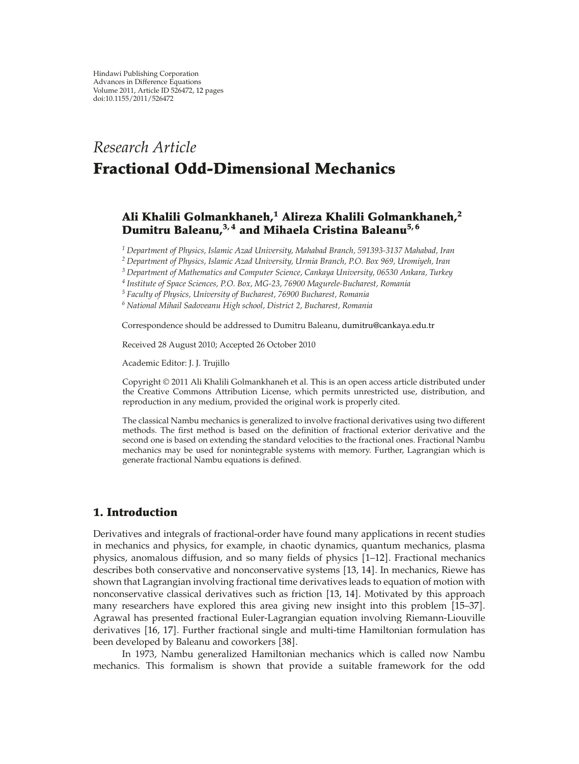# *Research Article* **Fractional Odd-Dimensional Mechanics**

## **Ali Khalili Golmankhaneh,<sup>1</sup> Alireza Khalili Golmankhaneh,<sup>2</sup> Dumitru Baleanu,3, 4 and Mihaela Cristina Baleanu5, 6**

*<sup>1</sup> Department of Physics, Islamic Azad University, Mahabad Branch, 591393-3137 Mahabad, Iran*

*<sup>2</sup> Department of Physics, Islamic Azad University, Urmia Branch, P.O. Box 969, Uromiyeh, Iran*

*<sup>3</sup> Department of Mathematics and Computer Science, Cankaya University, 06530 Ankara, Turkey*

*<sup>4</sup> Institute of Space Sciences, P.O. Box, MG-23, 76900 Magurele-Bucharest, Romania*

*<sup>5</sup> Faculty of Physics, University of Bucharest, 76900 Bucharest, Romania*

*<sup>6</sup> National Mihail Sadoveanu High school, District 2, Bucharest, Romania*

Correspondence should be addressed to Dumitru Baleanu, dumitru@cankaya.edu.tr

Received 28 August 2010; Accepted 26 October 2010

Academic Editor: J. J. Trujillo

Copyright © 2011 Ali Khalili Golmankhaneh et al. This is an open access article distributed under the Creative Commons Attribution License, which permits unrestricted use, distribution, and reproduction in any medium, provided the original work is properly cited.

The classical Nambu mechanics is generalized to involve fractional derivatives using two different methods. The first method is based on the definition of fractional exterior derivative and the second one is based on extending the standard velocities to the fractional ones. Fractional Nambu mechanics may be used for nonintegrable systems with memory. Further, Lagrangian which is generate fractional Nambu equations is defined.

### **1. Introduction**

Derivatives and integrals of fractional-order have found many applications in recent studies in mechanics and physics, for example, in chaotic dynamics, quantum mechanics, plasma physics, anomalous diffusion, and so many fields of physics 1–12. Fractional mechanics describes both conservative and nonconservative systems 13, 14. In mechanics, Riewe has shown that Lagrangian involving fractional time derivatives leads to equation of motion with nonconservative classical derivatives such as friction [13, 14]. Motivated by this approach many researchers have explored this area giving new insight into this problem 15–37. Agrawal has presented fractional Euler-Lagrangian equation involving Riemann-Liouville derivatives [16, 17]. Further fractional single and multi-time Hamiltonian formulation has been developed by Baleanu and coworkers [38].

In 1973, Nambu generalized Hamiltonian mechanics which is called now Nambu mechanics. This formalism is shown that provide a suitable framework for the odd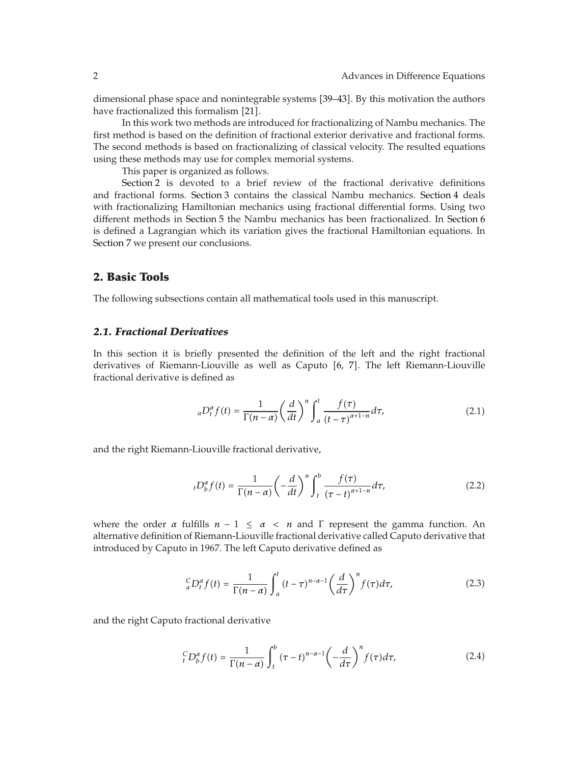dimensional phase space and nonintegrable systems 39–43. By this motivation the authors have fractionalized this formalism [21].

In this work two methods are introduced for fractionalizing of Nambu mechanics. The first method is based on the definition of fractional exterior derivative and fractional forms. The second methods is based on fractionalizing of classical velocity. The resulted equations using these methods may use for complex memorial systems.

This paper is organized as follows.

Section 2 is devoted to a brief review of the fractional derivative definitions and fractional forms. Section 3 contains the classical Nambu mechanics. Section 4 deals with fractionalizing Hamiltonian mechanics using fractional differential forms. Using two different methods in Section 5 the Nambu mechanics has been fractionalized. In Section 6 is defined a Lagrangian which its variation gives the fractional Hamiltonian equations. In Section 7 we present our conclusions.

### **2. Basic Tools**

The following subsections contain all mathematical tools used in this manuscript.

#### *2.1. Fractional Derivatives*

In this section it is briefly presented the definition of the left and the right fractional derivatives of Riemann-Liouville as well as Caputo [6, 7]. The left Riemann-Liouville fractional derivative is defined as

$$
{}_{a}D_{t}^{\alpha}f(t) = \frac{1}{\Gamma(n-\alpha)} \left(\frac{d}{dt}\right)^{n} \int_{a}^{t} \frac{f(\tau)}{(t-\tau)^{\alpha+1-n}} d\tau, \tag{2.1}
$$

and the right Riemann-Liouville fractional derivative,

$$
{}_{t}D_{b}^{\alpha}f(t) = \frac{1}{\Gamma(n-\alpha)} \left(-\frac{d}{dt}\right)^{n} \int_{t}^{b} \frac{f(\tau)}{(\tau-t)^{\alpha+1-n}} d\tau, \tag{2.2}
$$

where the order  $\alpha$  fulfills  $n - 1 \leq \alpha < n$  and  $\Gamma$  represent the gamma function. An alternative definition of Riemann-Liouville fractional derivative called Caputo derivative that introduced by Caputo in 1967. The left Caputo derivative defined as

$$
{}_{a}^{C}D_{t}^{\alpha}f(t) = \frac{1}{\Gamma(n-\alpha)} \int_{a}^{t} (t-\tau)^{n-\alpha-1} \left(\frac{d}{d\tau}\right)^{n} f(\tau) d\tau, \tag{2.3}
$$

and the right Caputo fractional derivative

$$
{}_{t}^{C}D_{b}^{\alpha}f(t) = \frac{1}{\Gamma(n-\alpha)} \int_{t}^{b} (\tau - t)^{n-\alpha-1} \left(-\frac{d}{d\tau}\right)^{n} f(\tau) d\tau, \tag{2.4}
$$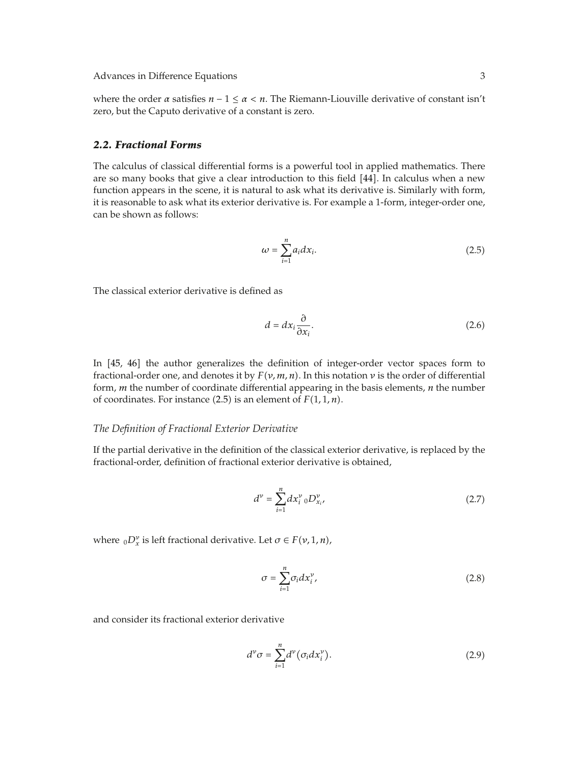where the order  $\alpha$  satisfies  $n - 1 \leq \alpha < n$ . The Riemann-Liouville derivative of constant isn't zero, but the Caputo derivative of a constant is zero.

#### *2.2. Fractional Forms*

The calculus of classical differential forms is a powerful tool in applied mathematics. There are so many books that give a clear introduction to this field [44]. In calculus when a new function appears in the scene, it is natural to ask what its derivative is. Similarly with form, it is reasonable to ask what its exterior derivative is. For example a 1-form, integer-order one, can be shown as follows:

$$
\omega = \sum_{i=1}^{n} a_i dx_i.
$$
 (2.5)

The classical exterior derivative is defined as

$$
d = dx_i \frac{\partial}{\partial x_i}.
$$
 (2.6)

In  $[45, 46]$  the author generalizes the definition of integer-order vector spaces form to fractional-order one, and denotes it by *Fν, m, n*. In this notation *ν* is the order of differential form, *m* the number of coordinate differential appearing in the basis elements, *n* the number of coordinates. For instance  $(2.5)$  is an element of  $F(1, 1, n)$ .

#### *The Definition of Fractional Exterior Derivative*

If the partial derivative in the definition of the classical exterior derivative, is replaced by the fractional-order, definition of fractional exterior derivative is obtained,

$$
d^{\nu} = \sum_{i=1}^{n} dx_{i}^{\nu} {}_{0}D_{x_{i}}^{\nu}, \qquad (2.7)
$$

where  $_0D_x^{\nu}$  is left fractional derivative. Let  $\sigma \in F(\nu, 1, n)$ ,

$$
\sigma = \sum_{i=1}^{n} \sigma_i dx_i^{\nu},\tag{2.8}
$$

and consider its fractional exterior derivative

$$
d^{\nu}\sigma = \sum_{i=1}^{n} d^{\nu} (\sigma_i dx_i^{\nu}).
$$
\n(2.9)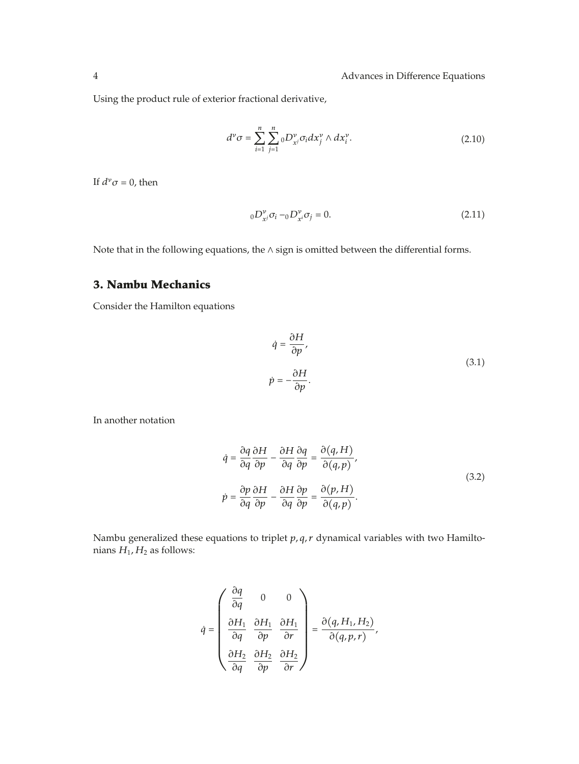Using the product rule of exterior fractional derivative,

$$
d^{\nu}\sigma = \sum_{i=1}^{n} \sum_{j=1}^{n} {}_{0}D_{x^{j}}^{\nu}\sigma_{i}dx_{j}^{\nu} \wedge dx_{i}^{\nu}.
$$
 (2.10)

If  $d^{\nu}\sigma = 0$ , then

$$
{}_{0}D_{x^{j}}^{\nu}\sigma_{i} - {}_{0}D_{x^{i}}^{\nu}\sigma_{j} = 0.
$$
 (2.11)

Note that in the following equations, the ∧ sign is omitted between the differential forms.

## **3. Nambu Mechanics**

Consider the Hamilton equations

$$
\dot{q} = \frac{\partial H}{\partial p},
$$
  
\n
$$
\dot{p} = -\frac{\partial H}{\partial p}.
$$
\n(3.1)

In another notation

$$
\dot{q} = \frac{\partial q}{\partial q} \frac{\partial H}{\partial p} - \frac{\partial H}{\partial q} \frac{\partial q}{\partial p} = \frac{\partial (q, H)}{\partial (q, p)},
$$
  
\n
$$
\dot{p} = \frac{\partial p}{\partial q} \frac{\partial H}{\partial p} - \frac{\partial H}{\partial q} \frac{\partial p}{\partial p} = \frac{\partial (p, H)}{\partial (q, p)}.
$$
\n(3.2)

Nambu generalized these equations to triplet *p, q, r* dynamical variables with two Hamiltonians  $H_1$ ,  $H_2$  as follows:

$$
\dot{q}=\left(\begin{array}{ccc} \dfrac{\partial q}{\partial q} & 0 & 0 \\ \\ \dfrac{\partial H_1}{\partial q} & \dfrac{\partial H_1}{\partial p} & \dfrac{\partial H_1}{\partial r} \\ \\ \dfrac{\partial H_2}{\partial q} & \dfrac{\partial H_2}{\partial p} & \dfrac{\partial H_2}{\partial r} \end{array}\right)=\dfrac{\partial \big(q,H_1,H_2\big)}{\partial \big(q,p,r\big)},
$$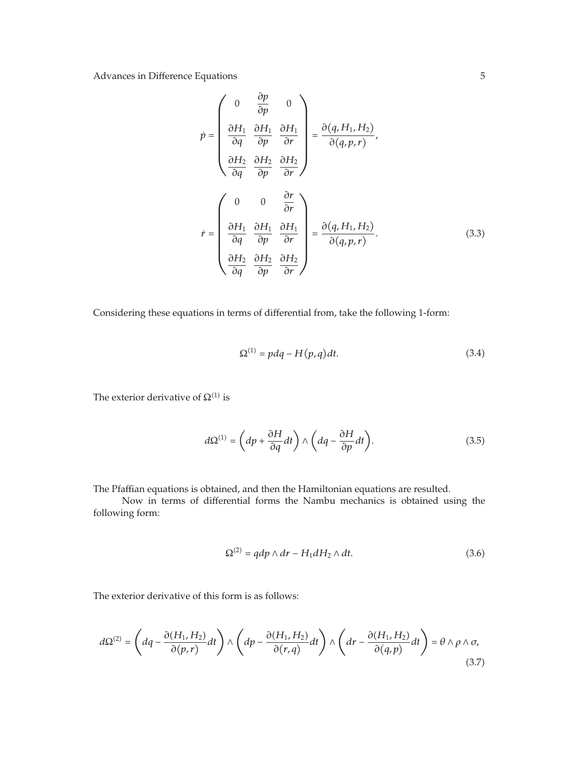$$
\dot{p} = \begin{pmatrix}\n0 & \frac{\partial p}{\partial p} & 0 \\
\frac{\partial H_1}{\partial q} & \frac{\partial H_1}{\partial p} & \frac{\partial H_1}{\partial r} \\
\frac{\partial H_2}{\partial q} & \frac{\partial H_2}{\partial p} & \frac{\partial H_2}{\partial r}\n\end{pmatrix} = \frac{\partial (q, H_1, H_2)}{\partial (q, p, r)},
$$
\n
$$
\dot{r} = \begin{pmatrix}\n0 & 0 & \frac{\partial r}{\partial r} \\
\frac{\partial H_1}{\partial q} & \frac{\partial H_1}{\partial p} & \frac{\partial H_1}{\partial r} \\
\frac{\partial H_2}{\partial q} & \frac{\partial H_2}{\partial p} & \frac{\partial H_2}{\partial r}\n\end{pmatrix} = \frac{\partial (q, H_1, H_2)}{\partial (q, p, r)}.
$$
\n(3.3)

Considering these equations in terms of differential from, take the following 1-form:

$$
\Omega^{(1)} = pdq - H(p,q)dt.
$$
\n(3.4)

The exterior derivative of  $\Omega^{(1)}$  is

$$
d\Omega^{(1)} = \left( dp + \frac{\partial H}{\partial q} dt \right) \wedge \left( dq - \frac{\partial H}{\partial p} dt \right). \tag{3.5}
$$

The Pfaffian equations is obtained, and then the Hamiltonian equations are resulted.

Now in terms of differential forms the Nambu mechanics is obtained using the following form:

$$
\Omega^{(2)} = qdp \wedge dr - H_1 dH_2 \wedge dt. \tag{3.6}
$$

The exterior derivative of this form is as follows:

$$
d\Omega^{(2)} = \left( dq - \frac{\partial (H_1, H_2)}{\partial (p, r)} dt \right) \wedge \left( dp - \frac{\partial (H_1, H_2)}{\partial (r, q)} dt \right) \wedge \left( dr - \frac{\partial (H_1, H_2)}{\partial (q, p)} dt \right) = \theta \wedge \rho \wedge \sigma,
$$
\n(3.7)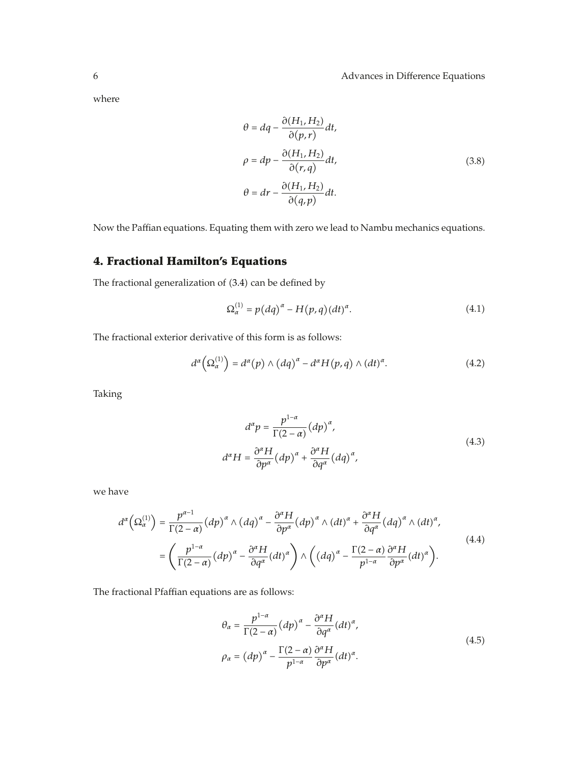where

$$
\theta = dq - \frac{\partial (H_1, H_2)}{\partial (p, r)} dt,
$$
  
\n
$$
\rho = dp - \frac{\partial (H_1, H_2)}{\partial (r, q)} dt,
$$
  
\n
$$
\theta = dr - \frac{\partial (H_1, H_2)}{\partial (q, p)} dt.
$$
\n(3.8)

Now the Paffian equations. Equating them with zero we lead to Nambu mechanics equations.

# **4. Fractional Hamilton's Equations**

The fractional generalization of (3.4) can be defined by

$$
\Omega_{\alpha}^{(1)} = p\left(dq\right)^{\alpha} - H\left(p,q\right)\left(dt\right)^{\alpha}.\tag{4.1}
$$

The fractional exterior derivative of this form is as follows:

$$
d^{\alpha}\left(\Omega_{\alpha}^{(1)}\right) = d^{\alpha}(p) \wedge \left(dq\right)^{\alpha} - d^{\alpha}H(p,q) \wedge \left(dt\right)^{\alpha}.
$$
 (4.2)

Taking

$$
d^{\alpha}p = \frac{p^{1-\alpha}}{\Gamma(2-\alpha)} (dp)^{\alpha},
$$
  

$$
d^{\alpha}H = \frac{\partial^{\alpha}H}{\partial p^{\alpha}} (dp)^{\alpha} + \frac{\partial^{\alpha}H}{\partial q^{\alpha}} (dq)^{\alpha},
$$
(4.3)

we have

$$
d^{\alpha}\left(\Omega_{\alpha}^{(1)}\right) = \frac{p^{\alpha-1}}{\Gamma(2-\alpha)}\left(dp\right)^{\alpha} \wedge \left(dq\right)^{\alpha} - \frac{\partial^{\alpha}H}{\partial p^{\alpha}}\left(dp\right)^{\alpha} \wedge \left(dt\right)^{\alpha} + \frac{\partial^{\alpha}H}{\partial q^{\alpha}}\left(dq\right)^{\alpha} \wedge \left(dt\right)^{\alpha},
$$
\n
$$
= \left(\frac{p^{1-\alpha}}{\Gamma(2-\alpha)}\left(dp\right)^{\alpha} - \frac{\partial^{\alpha}H}{\partial q^{\alpha}}\left(dt\right)^{\alpha}\right) \wedge \left((dq)^{\alpha} - \frac{\Gamma(2-\alpha)}{p^{1-\alpha}}\frac{\partial^{\alpha}H}{\partial p^{\alpha}}\left(dt\right)^{\alpha}\right).
$$
\n(4.4)

The fractional Pfaffian equations are as follows:

$$
\theta_{\alpha} = \frac{p^{1-\alpha}}{\Gamma(2-\alpha)} (dp)^{\alpha} - \frac{\partial^{\alpha} H}{\partial q^{\alpha}} (dt)^{\alpha},
$$
  
\n
$$
\rho_{\alpha} = (dp)^{\alpha} - \frac{\Gamma(2-\alpha)}{p^{1-\alpha}} \frac{\partial^{\alpha} H}{\partial p^{\alpha}} (dt)^{\alpha}.
$$
\n(4.5)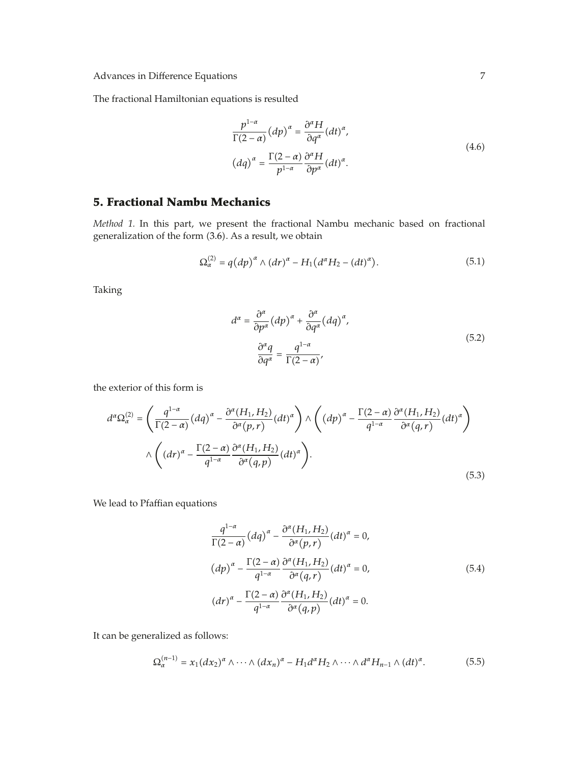The fractional Hamiltonian equations is resulted

$$
\frac{p^{1-\alpha}}{\Gamma(2-\alpha)}(dp)^{\alpha} = \frac{\partial^{\alpha}H}{\partial q^{\alpha}}(dt)^{\alpha},
$$
  

$$
(dq)^{\alpha} = \frac{\Gamma(2-\alpha)}{p^{1-\alpha}}\frac{\partial^{\alpha}H}{\partial p^{\alpha}}(dt)^{\alpha}.
$$
 (4.6)

## **5. Fractional Nambu Mechanics**

*Method 1.* In this part, we present the fractional Nambu mechanic based on fractional generalization of the form  $(3.6)$ . As a result, we obtain

$$
\Omega_{\alpha}^{(2)} = q (dp)^{\alpha} \wedge (dr)^{\alpha} - H_1 (d^{\alpha} H_2 - (dt)^{\alpha}). \tag{5.1}
$$

Taking

$$
d^{\alpha} = \frac{\partial^{\alpha}}{\partial p^{\alpha}} (dp)^{\alpha} + \frac{\partial^{\alpha}}{\partial q^{\alpha}} (dq)^{\alpha},
$$
  

$$
\frac{\partial^{\alpha} q}{\partial q^{\alpha}} = \frac{q^{1-\alpha}}{\Gamma(2-\alpha)},
$$
\n(5.2)

the exterior of this form is

$$
d^{\alpha}\Omega_{\alpha}^{(2)} = \left(\frac{q^{1-\alpha}}{\Gamma(2-\alpha)}(dq)^{\alpha} - \frac{\partial^{\alpha}(H_{1}, H_{2})}{\partial^{\alpha}(p, r)}(dt)^{\alpha}\right) \wedge \left((dp)^{\alpha} - \frac{\Gamma(2-\alpha)}{q^{1-\alpha}}\frac{\partial^{\alpha}(H_{1}, H_{2})}{\partial^{\alpha}(q, r)}(dt)^{\alpha}\right)
$$

$$
\wedge \left((dr)^{\alpha} - \frac{\Gamma(2-\alpha)}{q^{1-\alpha}}\frac{\partial^{\alpha}(H_{1}, H_{2})}{\partial^{\alpha}(q, p)}(dt)^{\alpha}\right).
$$
(5.3)

We lead to Pfaffian equations

$$
\frac{q^{1-\alpha}}{\Gamma(2-\alpha)}(dq)^{\alpha} - \frac{\partial^{\alpha}(H_1, H_2)}{\partial^{\alpha}(p, r)}(dt)^{\alpha} = 0,
$$
  
\n
$$
(dp)^{\alpha} - \frac{\Gamma(2-\alpha)}{q^{1-\alpha}} \frac{\partial^{\alpha}(H_1, H_2)}{\partial^{\alpha}(q, r)}(dt)^{\alpha} = 0,
$$
  
\n
$$
(dr)^{\alpha} - \frac{\Gamma(2-\alpha)}{q^{1-\alpha}} \frac{\partial^{\alpha}(H_1, H_2)}{\partial^{\alpha}(q, p)}(dt)^{\alpha} = 0.
$$
\n(5.4)

It can be generalized as follows:

$$
\Omega_{\alpha}^{(n-1)} = x_1 (dx_2)^{\alpha} \wedge \cdots \wedge (dx_n)^{\alpha} - H_1 d^{\alpha} H_2 \wedge \cdots \wedge d^{\alpha} H_{n-1} \wedge (dt)^{\alpha}.
$$
 (5.5)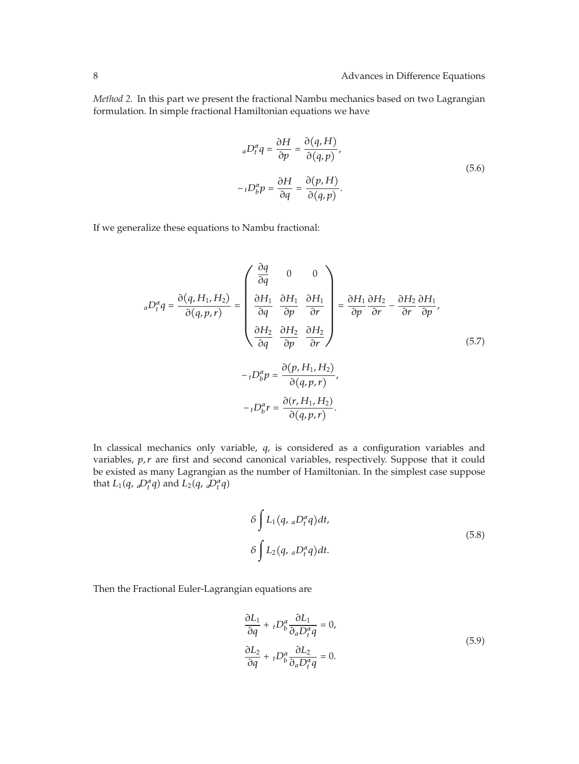*Method 2.* In this part we present the fractional Nambu mechanics based on two Lagrangian formulation. In simple fractional Hamiltonian equations we have

$$
{}_{a}D_{t}^{\alpha}q = \frac{\partial H}{\partial p} = \frac{\partial (q, H)}{\partial (q, p)},
$$
  

$$
-{}_{t}D_{b}^{\alpha}p = \frac{\partial H}{\partial q} = \frac{\partial (p, H)}{\partial (q, p)}.
$$
 (5.6)

If we generalize these equations to Nambu fractional:

$$
{}_{a}D_{t}^{\alpha}q = \frac{\partial(q, H_{1}, H_{2})}{\partial(q, p, r)} = \begin{pmatrix} \frac{\partial q}{\partial q} & 0 & 0 \\ \frac{\partial H_{1}}{\partial q} & \frac{\partial H_{1}}{\partial p} & \frac{\partial H_{1}}{\partial r} \\ \frac{\partial H_{2}}{\partial q} & \frac{\partial H_{2}}{\partial p} & \frac{\partial H_{2}}{\partial r} \end{pmatrix} = \frac{\partial H_{1}}{\partial p} \frac{\partial H_{2}}{\partial r} - \frac{\partial H_{2}}{\partial r} \frac{\partial H_{1}}{\partial p},
$$
\n
$$
-{}_{t}D_{b}^{\alpha}p = \frac{\partial(p, H_{1}, H_{2})}{\partial(q, p, r)},
$$
\n
$$
-{}_{t}D_{b}^{\alpha}r = \frac{\partial(r, H_{1}, H_{2})}{\partial(q, p, r)}.
$$
\n(5.7)

In classical mechanics only variable, *q*, is considered as a configuration variables and variables, p, r are first and second canonical variables, respectively. Suppose that it could be existed as many Lagrangian as the number of Hamiltonian. In the simplest case suppose that  $L_1(q, aP_t^{\alpha}q)$  and  $L_2(q, aP_t^{\alpha}q)$ 

$$
\delta \int L_1(q, {}_aD_t^{\alpha}q)dt,
$$
  
\n
$$
\delta \int L_2(q, {}_aD_t^{\alpha}q)dt.
$$
\n(5.8)

Then the Fractional Euler-Lagrangian equations are

$$
\frac{\partial L_1}{\partial q} + {}_t D_b^{\alpha} \frac{\partial L_1}{\partial a D_t^{\alpha} q} = 0,
$$
  

$$
\frac{\partial L_2}{\partial q} + {}_t D_b^{\alpha} \frac{\partial L_2}{\partial a D_t^{\alpha} q} = 0.
$$
 (5.9)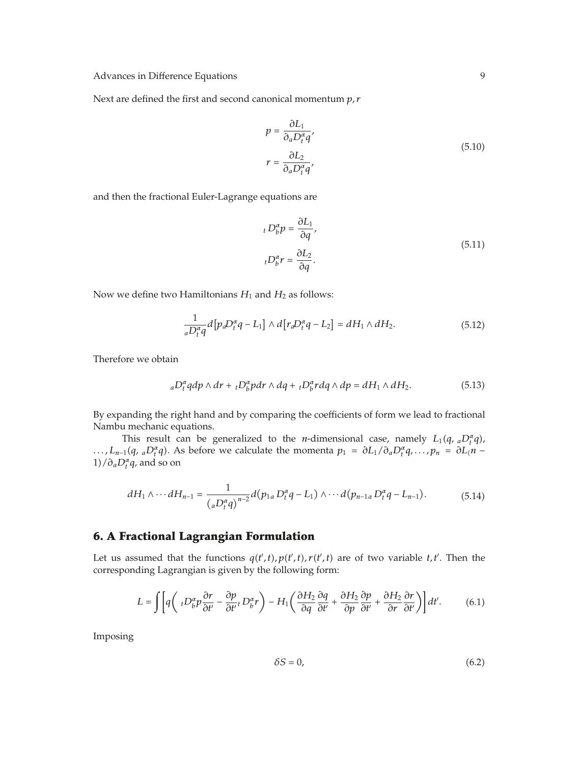Next are defined the first and second canonical momentum *p, r*

$$
p = \frac{\partial L_1}{\partial_a D_i^{\alpha} q'}
$$
  

$$
r = \frac{\partial L_2}{\partial_a D_i^{\alpha} q'}
$$
 (5.10)

and then the fractional Euler-Lagrange equations are

$$
{}_{t}D_{b}^{\alpha}p = \frac{\partial L_{1}}{\partial q},
$$
  

$$
{}_{t}D_{b}^{\alpha}r = \frac{\partial L_{2}}{\partial q}.
$$
\n(5.11)

Now we define two Hamiltonians  $H_1$  and  $H_2$  as follows:

$$
\frac{1}{aD_t^{\alpha}q}d\left[p_aD_t^{\alpha}q - L_1\right] \wedge d\left[r_aD_t^{\alpha}q - L_2\right] = dH_1 \wedge dH_2. \tag{5.12}
$$

Therefore we obtain

$$
{}_{a}D_{t}^{\alpha}qdp\wedge dr + {}_{t}D_{b}^{\alpha}pdr\wedge dq + {}_{t}D_{b}^{\alpha}rdq\wedge dp = dH_{1}\wedge dH_{2}.
$$
 (5.13)

By expanding the right hand and by comparing the coefficients of form we lead to fractional Nambu mechanic equations.

This result can be generalized to the *n*-dimensional case, namely  $L_1(q, aD_t^{\alpha}q)$ , *...,L<sub>n−1</sub>*(*q, <sub>a</sub>D<sup>α</sup><sub>t</sub></sub>q*). As before we calculate the momenta *p*<sub>1</sub> =  $∂L_1/∂_aD_t^αq, . . . , p_n = ∂L(n − n)$  $1$ / $\partial_a D_t^{\alpha} q$ , and so on

$$
dH_1 \wedge \cdots dH_{n-1} = \frac{1}{(aD_t^{\alpha}q)^{n-2}} d(p_{1a}D_t^{\alpha}q - L_1) \wedge \cdots d(p_{n-1a}D_t^{\alpha}q - L_{n-1}).
$$
 (5.14)

# **6. A Fractional Lagrangian Formulation**

Let us assumed that the functions  $q(t',t), p(t',t), r(t',t)$  are of two variable  $t, t'$ . Then the corresponding Lagrangian is given by the following form:

$$
L = \int \left[ q \left( t D_b^{\alpha} p \frac{\partial r}{\partial t'} - \frac{\partial p}{\partial t'} t D_b^{\alpha} r \right) - H_1 \left( \frac{\partial H_2}{\partial q} \frac{\partial q}{\partial t'} + \frac{\partial H_2}{\partial p} \frac{\partial p}{\partial t'} + \frac{\partial H_2}{\partial r} \frac{\partial r}{\partial t'} \right) \right] dt'.
$$
 (6.1)

Imposing

$$
\delta S = 0,\tag{6.2}
$$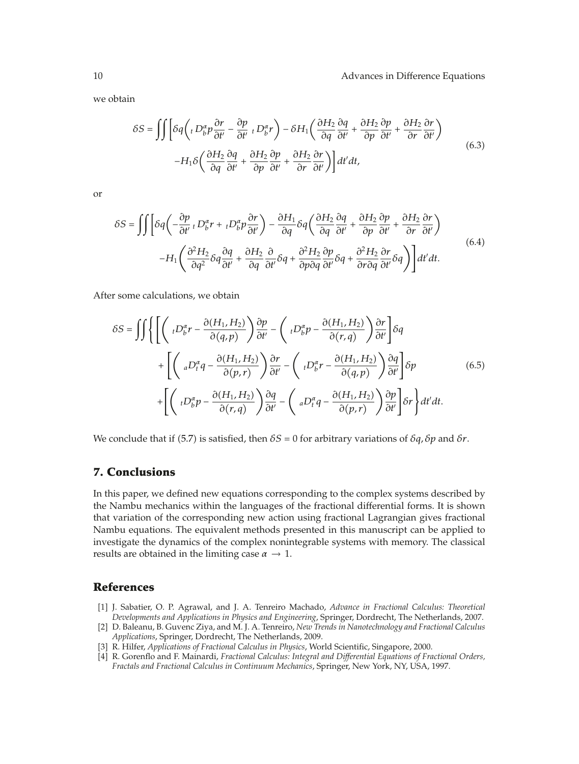we obtain

$$
\delta S = \iint \left[ \delta q \left( \iota D_b^{\alpha} p \frac{\partial r}{\partial t'} - \frac{\partial p}{\partial t'} \iota D_b^{\alpha} r \right) - \delta H_1 \left( \frac{\partial H_2}{\partial q} \frac{\partial q}{\partial t'} + \frac{\partial H_2}{\partial p} \frac{\partial p}{\partial t'} + \frac{\partial H_2}{\partial r} \frac{\partial r}{\partial t'} \right) - H_1 \delta \left( \frac{\partial H_2}{\partial q} \frac{\partial q}{\partial t'} + \frac{\partial H_2}{\partial p} \frac{\partial p}{\partial t'} + \frac{\partial H_2}{\partial r} \frac{\partial r}{\partial t'} \right) \right] dt' dt,
$$
\n(6.3)

or

$$
\delta S = \iint \left[ \delta q \left( -\frac{\partial p}{\partial t'} \, t \, D_b^{\alpha} r + \, t D_b^{\alpha} p \frac{\partial r}{\partial t'} \right) - \frac{\partial H_1}{\partial q} \delta q \left( \frac{\partial H_2}{\partial q} \frac{\partial q}{\partial t'} + \frac{\partial H_2}{\partial p} \frac{\partial p}{\partial t'} + \frac{\partial H_2}{\partial r} \frac{\partial r}{\partial t'} \right) - H_1 \left( \frac{\partial^2 H_2}{\partial q^2} \delta q \frac{\partial q}{\partial t'} + \frac{\partial H_2}{\partial q} \frac{\partial}{\partial t'} \delta q + \frac{\partial^2 H_2}{\partial p \partial q} \frac{\partial p}{\partial t'} \delta q + \frac{\partial^2 H_2}{\partial r \partial q} \frac{\partial r}{\partial t'} \delta q \right) \right] dt' dt.
$$
\n
$$
(6.4)
$$

After some calculations, we obtain

$$
\delta S = \iiint \left\{ \left[ \left( {}_{t}D_{b}^{\alpha}r - \frac{\partial(H_{1}, H_{2})}{\partial(q, p)} \right) \frac{\partial p}{\partial t'} - \left( {}_{t}D_{b}^{\alpha}p - \frac{\partial(H_{1}, H_{2})}{\partial(r, q)} \right) \frac{\partial r}{\partial t'} \right] \delta q \right. \\ \left. + \left[ \left( {}_{a}D_{t}^{\alpha}q - \frac{\partial(H_{1}, H_{2})}{\partial(p, r)} \right) \frac{\partial r}{\partial t'} - \left( {}_{t}D_{b}^{\alpha}r - \frac{\partial(H_{1}, H_{2})}{\partial(q, p)} \right) \frac{\partial q}{\partial t'} \right] \delta p \right. \\ \left. + \left[ \left( {}_{t}D_{b}^{\alpha}p - \frac{\partial(H_{1}, H_{2})}{\partial(r, q)} \right) \frac{\partial q}{\partial t'} - \left( {}_{a}D_{t}^{\alpha}q - \frac{\partial(H_{1}, H_{2})}{\partial(p, r)} \right) \frac{\partial p}{\partial t'} \right] \delta r \right\} dt'dt. \tag{6.5}
$$

We conclude that if (5.7) is satisfied, then  $\delta S = 0$  for arbitrary variations of  $\delta q$ ,  $\delta p$  and  $\delta r$ .

## **7. Conclusions**

In this paper, we defined new equations corresponding to the complex systems described by the Nambu mechanics within the languages of the fractional differential forms. It is shown that variation of the corresponding new action using fractional Lagrangian gives fractional Nambu equations. The equivalent methods presented in this manuscript can be applied to investigate the dynamics of the complex nonintegrable systems with memory. The classical results are obtained in the limiting case  $\alpha \rightarrow 1$ .

#### **References**

- 1 J. Sabatier, O. P. Agrawal, and J. A. Tenreiro Machado, *Advance in Fractional Calculus: Theoretical Developments and Applications in Physics and Engineering*, Springer, Dordrecht, The Netherlands, 2007.
- 2 D. Baleanu, B. Guvenc Ziya, and M. J. A. Tenreiro, *New Trends in Nanotechnology and Fractional Calculus Applications*, Springer, Dordrecht, The Netherlands, 2009.
- 3 R. Hilfer, *Applications of Fractional Calculus in Physics*, World Scientific, Singapore, 2000.
- 4 R. Gorenflo and F. Mainardi, *Fractional Calculus: Integral and Differential Equations of Fractional Orders, Fractals and Fractional Calculus in Continuum Mechanics*, Springer, New York, NY, USA, 1997.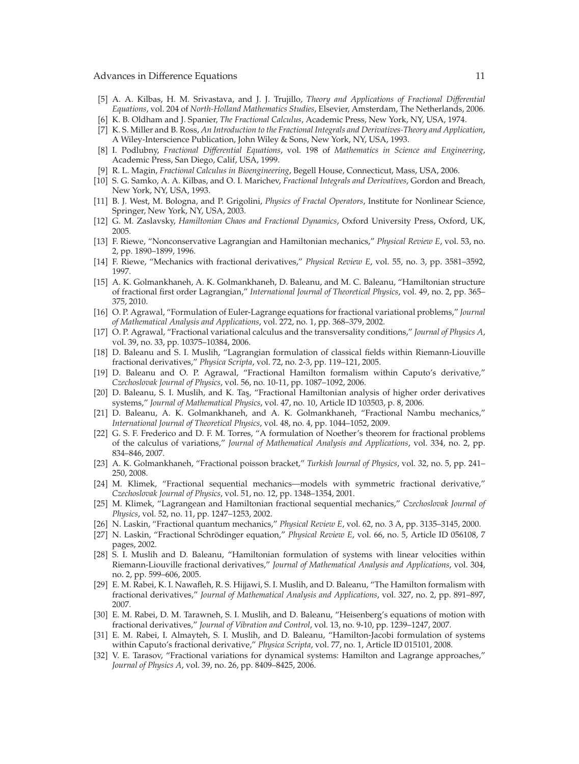- 5 A. A. Kilbas, H. M. Srivastava, and J. J. Trujillo, *Theory and Applications of Fractional Differential Equations*, vol. 204 of *North-Holland Mathematics Studies*, Elsevier, Amsterdam, The Netherlands, 2006.
- 6 K. B. Oldham and J. Spanier, *The Fractional Calculus*, Academic Press, New York, NY, USA, 1974.
- 7 K. S. Miller and B. Ross, *An Introduction to the Fractional Integrals and Derivatives-Theory and Application*, A Wiley-Interscience Publication, John Wiley & Sons, New York, NY, USA, 1993.
- 8 I. Podlubny, *Fractional Differential Equations*, vol. 198 of *Mathematics in Science and Engineering*, Academic Press, San Diego, Calif, USA, 1999.
- 9 R. L. Magin, *Fractional Calculus in Bioengineering*, Begell House, Connecticut, Mass, USA, 2006.
- 10 S. G. Samko, A. A. Kilbas, and O. I. Marichev, *Fractional Integrals and Derivatives*, Gordon and Breach, New York, NY, USA, 1993.
- 11 B. J. West, M. Bologna, and P. Grigolini, *Physics of Fractal Operators*, Institute for Nonlinear Science, Springer, New York, NY, USA, 2003.
- 12 G. M. Zaslavsky, *Hamiltonian Chaos and Fractional Dynamics*, Oxford University Press, Oxford, UK, 2005.
- 13 F. Riewe, "Nonconservative Lagrangian and Hamiltonian mechanics," *Physical Review E*, vol. 53, no. 2, pp. 1890–1899, 1996.
- 14 F. Riewe, "Mechanics with fractional derivatives," *Physical Review E*, vol. 55, no. 3, pp. 3581–3592, 1997.
- [15] A. K. Golmankhaneh, A. K. Golmankhaneh, D. Baleanu, and M. C. Baleanu, "Hamiltonian structure of fractional first order Lagrangian," *International Journal of Theoretical Physics*, vol. 49, no. 2, pp. 365– 375, 2010.
- 16 O. P. Agrawal, "Formulation of Euler-Lagrange equations for fractional variational problems," *Journal of Mathematical Analysis and Applications*, vol. 272, no. 1, pp. 368–379, 2002.
- 17 O. P. Agrawal, "Fractional variational calculus and the transversality conditions," *Journal of Physics A*, vol. 39, no. 33, pp. 10375–10384, 2006.
- 18 D. Baleanu and S. I. Muslih, "Lagrangian formulation of classical fields within Riemann-Liouville fractional derivatives," *Physica Scripta*, vol. 72, no. 2-3, pp. 119–121, 2005.
- 19 D. Baleanu and O. P. Agrawal, "Fractional Hamilton formalism within Caputo's derivative," *Czechoslovak Journal of Physics*, vol. 56, no. 10-11, pp. 1087–1092, 2006.
- [20] D. Baleanu, S. I. Muslih, and K. Taş, "Fractional Hamiltonian analysis of higher order derivatives systems," *Journal of Mathematical Physics*, vol. 47, no. 10, Article ID 103503, p. 8, 2006.
- 21 D. Baleanu, A. K. Golmankhaneh, and A. K. Golmankhaneh, "Fractional Nambu mechanics," *International Journal of Theoretical Physics*, vol. 48, no. 4, pp. 1044–1052, 2009.
- 22 G. S. F. Frederico and D. F. M. Torres, "A formulation of Noether's theorem for fractional problems of the calculus of variations," *Journal of Mathematical Analysis and Applications*, vol. 334, no. 2, pp. 834–846, 2007.
- 23 A. K. Golmankhaneh, "Fractional poisson bracket," *Turkish Journal of Physics*, vol. 32, no. 5, pp. 241– 250, 2008.
- 24 M. Klimek, "Fractional sequential mechanics—models with symmetric fractional derivative," *Czechoslovak Journal of Physics*, vol. 51, no. 12, pp. 1348–1354, 2001.
- 25 M. Klimek, "Lagrangean and Hamiltonian fractional sequential mechanics," *Czechoslovak Journal of Physics*, vol. 52, no. 11, pp. 1247–1253, 2002.
- 26 N. Laskin, "Fractional quantum mechanics," *Physical Review E*, vol. 62, no. 3 A, pp. 3135–3145, 2000.
- [27] N. Laskin, "Fractional Schrödinger equation," *Physical Review E*, vol. 66, no. 5, Article ID 056108, 7 pages, 2002.
- 28 S. I. Muslih and D. Baleanu, "Hamiltonian formulation of systems with linear velocities within Riemann-Liouville fractional derivatives," *Journal of Mathematical Analysis and Applications*, vol. 304, no. 2, pp. 599–606, 2005.
- 29 E. M. Rabei, K. I. Nawafleh, R. S. Hijjawi, S. I. Muslih, and D. Baleanu, "The Hamilton formalism with fractional derivatives," *Journal of Mathematical Analysis and Applications*, vol. 327, no. 2, pp. 891–897, 2007.
- 30 E. M. Rabei, D. M. Tarawneh, S. I. Muslih, and D. Baleanu, "Heisenberg's equations of motion with fractional derivatives," *Journal of Vibration and Control*, vol. 13, no. 9-10, pp. 1239–1247, 2007.
- 31 E. M. Rabei, I. Almayteh, S. I. Muslih, and D. Baleanu, "Hamilton-Jacobi formulation of systems within Caputo's fractional derivative," *Physica Scripta*, vol. 77, no. 1, Article ID 015101, 2008.
- [32] V. E. Tarasov, "Fractional variations for dynamical systems: Hamilton and Lagrange approaches," *Journal of Physics A*, vol. 39, no. 26, pp. 8409–8425, 2006.